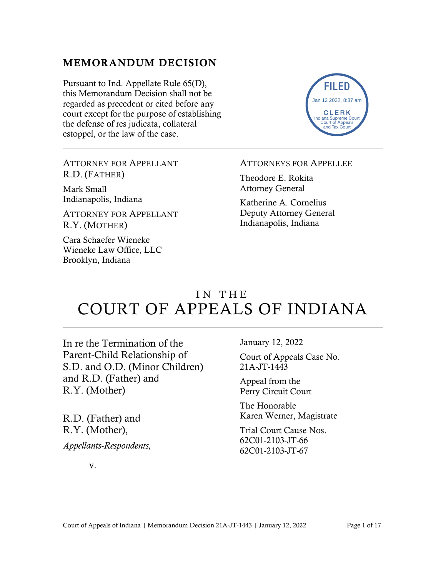## MEMORANDUM DECISION

Pursuant to Ind. Appellate Rule 65(D), this Memorandum Decision shall not be regarded as precedent or cited before any court except for the purpose of establishing the defense of res judicata, collateral estoppel, or the law of the case.



ATTORNEY FOR APPELLANT R.D. (FATHER)

Mark Small Indianapolis, Indiana

ATTORNEY FOR APPELLANT R.Y. (MOTHER)

Cara Schaefer Wieneke Wieneke Law Office, LLC Brooklyn, Indiana

#### ATTORNEYS FOR APPELLEE

Theodore E. Rokita Attorney General

Katherine A. Cornelius Deputy Attorney General Indianapolis, Indiana

# IN THE COURT OF APPEALS OF INDIANA

In re the Termination of the Parent-Child Relationship of S.D. and O.D. (Minor Children) and R.D. (Father) and R.Y. (Mother)

R.D. (Father) and R.Y. (Mother), *Appellants-Respondents,* January 12, 2022

Court of Appeals Case No. 21A-JT-1443

Appeal from the Perry Circuit Court

The Honorable Karen Werner, Magistrate

Trial Court Cause Nos. 62C01-2103-JT-66 62C01-2103-JT-67

v.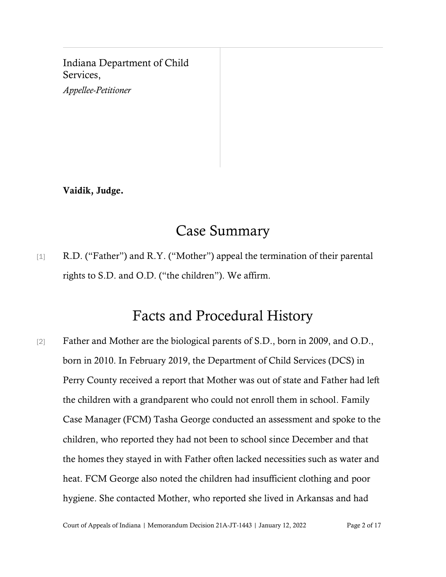Indiana Department of Child Services,

*Appellee-Petitioner*

Vaidik, Judge.

# Case Summary

[1] R.D. ("Father") and R.Y. ("Mother") appeal the termination of their parental rights to S.D. and O.D. ("the children"). We affirm.

## Facts and Procedural History

[2] Father and Mother are the biological parents of S.D., born in 2009, and O.D., born in 2010. In February 2019, the Department of Child Services (DCS) in Perry County received a report that Mother was out of state and Father had left the children with a grandparent who could not enroll them in school. Family Case Manager (FCM) Tasha George conducted an assessment and spoke to the children, who reported they had not been to school since December and that the homes they stayed in with Father often lacked necessities such as water and heat. FCM George also noted the children had insufficient clothing and poor hygiene. She contacted Mother, who reported she lived in Arkansas and had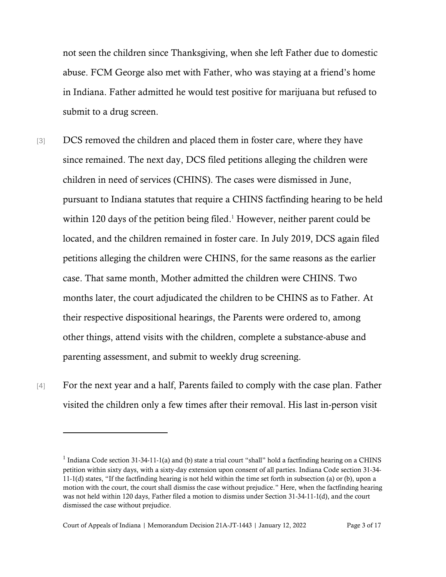not seen the children since Thanksgiving, when she left Father due to domestic abuse. FCM George also met with Father, who was staying at a friend's home in Indiana. Father admitted he would test positive for marijuana but refused to submit to a drug screen.

- [3] DCS removed the children and placed them in foster care, where they have since remained. The next day, DCS filed petitions alleging the children were children in need of services (CHINS). The cases were dismissed in June, pursuant to Indiana statutes that require a CHINS factfinding hearing to be held within 120 days of the petition being filed. <sup>1</sup> However, neither parent could be located, and the children remained in foster care. In July 2019, DCS again filed petitions alleging the children were CHINS, for the same reasons as the earlier case. That same month, Mother admitted the children were CHINS. Two months later, the court adjudicated the children to be CHINS as to Father. At their respective dispositional hearings, the Parents were ordered to, among other things, attend visits with the children, complete a substance-abuse and parenting assessment, and submit to weekly drug screening.
- [4] For the next year and a half, Parents failed to comply with the case plan. Father visited the children only a few times after their removal. His last in-person visit

<sup>&</sup>lt;sup>1</sup> Indiana Code section 31-34-11-1(a) and (b) state a trial court "shall" hold a factfinding hearing on a CHINS petition within sixty days, with a sixty-day extension upon consent of all parties. Indiana Code section 31-34- 11-1(d) states, "If the factfinding hearing is not held within the time set forth in subsection (a) or (b), upon a motion with the court, the court shall dismiss the case without prejudice." Here, when the factfinding hearing was not held within 120 days, Father filed a motion to dismiss under Section 31-34-11-1(d), and the court dismissed the case without prejudice.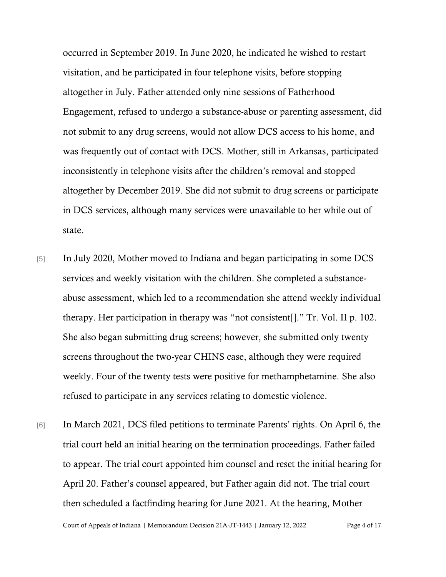occurred in September 2019. In June 2020, he indicated he wished to restart visitation, and he participated in four telephone visits, before stopping altogether in July. Father attended only nine sessions of Fatherhood Engagement, refused to undergo a substance-abuse or parenting assessment, did not submit to any drug screens, would not allow DCS access to his home, and was frequently out of contact with DCS. Mother, still in Arkansas, participated inconsistently in telephone visits after the children's removal and stopped altogether by December 2019. She did not submit to drug screens or participate in DCS services, although many services were unavailable to her while out of state.

- [5] In July 2020, Mother moved to Indiana and began participating in some DCS services and weekly visitation with the children. She completed a substanceabuse assessment, which led to a recommendation she attend weekly individual therapy. Her participation in therapy was "not consistent[]." Tr. Vol. II p. 102. She also began submitting drug screens; however, she submitted only twenty screens throughout the two-year CHINS case, although they were required weekly. Four of the twenty tests were positive for methamphetamine. She also refused to participate in any services relating to domestic violence.
- [6] In March 2021, DCS filed petitions to terminate Parents' rights. On April 6, the trial court held an initial hearing on the termination proceedings. Father failed to appear. The trial court appointed him counsel and reset the initial hearing for April 20. Father's counsel appeared, but Father again did not. The trial court then scheduled a factfinding hearing for June 2021. At the hearing, Mother

Court of Appeals of Indiana | Memorandum Decision 21A-JT-1443 | January 12, 2022 Page 4 of 17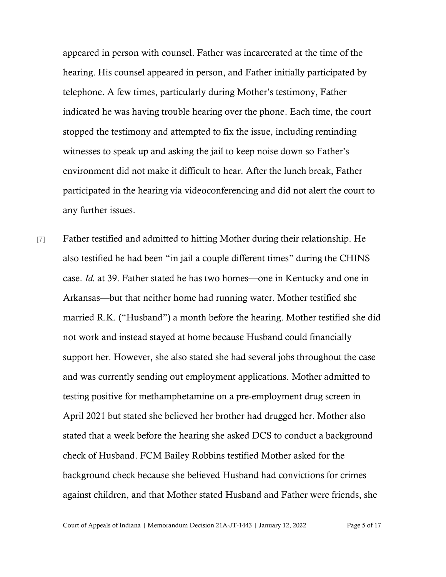appeared in person with counsel. Father was incarcerated at the time of the hearing. His counsel appeared in person, and Father initially participated by telephone. A few times, particularly during Mother's testimony, Father indicated he was having trouble hearing over the phone. Each time, the court stopped the testimony and attempted to fix the issue, including reminding witnesses to speak up and asking the jail to keep noise down so Father's environment did not make it difficult to hear. After the lunch break, Father participated in the hearing via videoconferencing and did not alert the court to any further issues.

[7] Father testified and admitted to hitting Mother during their relationship. He also testified he had been "in jail a couple different times" during the CHINS case. *Id.* at 39. Father stated he has two homes—one in Kentucky and one in Arkansas—but that neither home had running water. Mother testified she married R.K. ("Husband") a month before the hearing. Mother testified she did not work and instead stayed at home because Husband could financially support her. However, she also stated she had several jobs throughout the case and was currently sending out employment applications. Mother admitted to testing positive for methamphetamine on a pre-employment drug screen in April 2021 but stated she believed her brother had drugged her. Mother also stated that a week before the hearing she asked DCS to conduct a background check of Husband. FCM Bailey Robbins testified Mother asked for the background check because she believed Husband had convictions for crimes against children, and that Mother stated Husband and Father were friends, she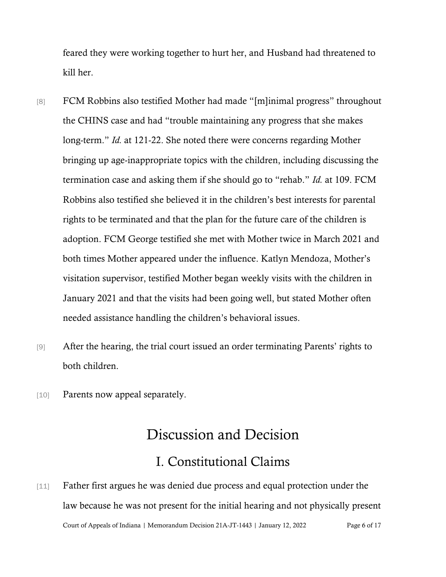feared they were working together to hurt her, and Husband had threatened to kill her.

- [8] FCM Robbins also testified Mother had made "[m]inimal progress" throughout the CHINS case and had "trouble maintaining any progress that she makes long-term." *Id.* at 121-22. She noted there were concerns regarding Mother bringing up age-inappropriate topics with the children, including discussing the termination case and asking them if she should go to "rehab." *Id.* at 109. FCM Robbins also testified she believed it in the children's best interests for parental rights to be terminated and that the plan for the future care of the children is adoption. FCM George testified she met with Mother twice in March 2021 and both times Mother appeared under the influence. Katlyn Mendoza, Mother's visitation supervisor, testified Mother began weekly visits with the children in January 2021 and that the visits had been going well, but stated Mother often needed assistance handling the children's behavioral issues.
- [9] After the hearing, the trial court issued an order terminating Parents' rights to both children.
- [10] Parents now appeal separately.

# Discussion and Decision

## I. Constitutional Claims

Court of Appeals of Indiana | Memorandum Decision 21A-JT-1443 | January 12, 2022 Page 6 of 17 [11] Father first argues he was denied due process and equal protection under the law because he was not present for the initial hearing and not physically present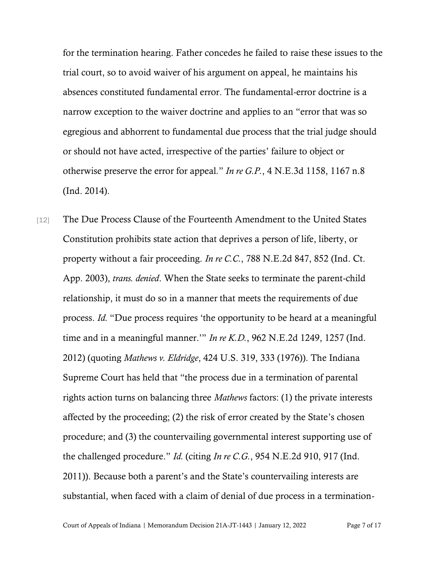for the termination hearing. Father concedes he failed to raise these issues to the trial court, so to avoid waiver of his argument on appeal, he maintains his absences constituted fundamental error. The fundamental-error doctrine is a narrow exception to the waiver doctrine and applies to an "error that was so egregious and abhorrent to fundamental due process that the trial judge should or should not have acted, irrespective of the parties' failure to object or otherwise preserve the error for appeal*.*" *In re G.P.*, 4 N.E.3d 1158, 1167 n.8 (Ind. 2014).

[12] The Due Process Clause of the Fourteenth Amendment to the United States Constitution prohibits state action that deprives a person of life, liberty, or property without a fair proceeding. *In re C.C.*, 788 N.E.2d 847, 852 (Ind. Ct. App. 2003), *trans. denied*. When the State seeks to terminate the parent-child relationship, it must do so in a manner that meets the requirements of due process. *Id.* "Due process requires 'the opportunity to be heard at a meaningful time and in a meaningful manner.'" *In re K.D.*, 962 N.E.2d 1249, 1257 (Ind. 2012) (quoting *Mathews v. Eldridge*, 424 U.S. 319, 333 (1976)). The Indiana Supreme Court has held that "the process due in a termination of parental rights action turns on balancing three *Mathews* factors: (1) the private interests affected by the proceeding; (2) the risk of error created by the State's chosen procedure; and (3) the countervailing governmental interest supporting use of the challenged procedure." *Id.* (citing *In re C.G.*, 954 N.E.2d 910, 917 (Ind. 2011)). Because both a parent's and the State's countervailing interests are substantial, when faced with a claim of denial of due process in a termination-

Court of Appeals of Indiana | Memorandum Decision 21A-JT-1443 | January 12, 2022 Page 7 of 17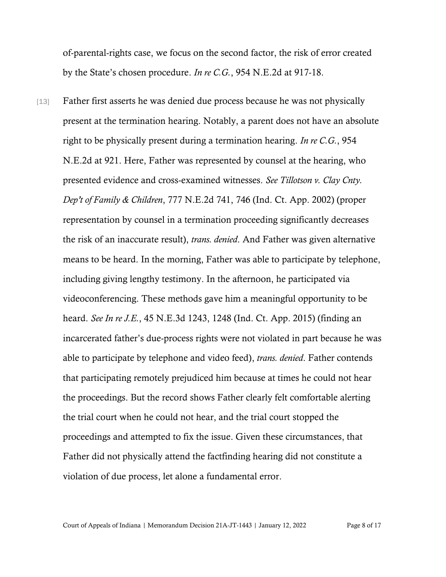of-parental-rights case, we focus on the second factor, the risk of error created by the State's chosen procedure. *In re C.G.*, 954 N.E.2d at 917-18.

[13] Father first asserts he was denied due process because he was not physically present at the termination hearing. Notably, a parent does not have an absolute right to be physically present during a termination hearing. *In re C.G.*, 954 N.E.2d at 921. Here, Father was represented by counsel at the hearing, who presented evidence and cross-examined witnesses. *See Tillotson v. Clay Cnty. Dep't of Family & Children*, 777 N.E.2d 741, 746 (Ind. Ct. App. 2002) (proper representation by counsel in a termination proceeding significantly decreases the risk of an inaccurate result), *trans. denied*. And Father was given alternative means to be heard. In the morning, Father was able to participate by telephone, including giving lengthy testimony. In the afternoon, he participated via videoconferencing. These methods gave him a meaningful opportunity to be heard. *See In re J.E.*, 45 N.E.3d 1243, 1248 (Ind. Ct. App. 2015) (finding an incarcerated father's due-process rights were not violated in part because he was able to participate by telephone and video feed), *trans. denied*. Father contends that participating remotely prejudiced him because at times he could not hear the proceedings. But the record shows Father clearly felt comfortable alerting the trial court when he could not hear, and the trial court stopped the proceedings and attempted to fix the issue. Given these circumstances, that Father did not physically attend the factfinding hearing did not constitute a violation of due process, let alone a fundamental error.

Court of Appeals of Indiana | Memorandum Decision 21A-JT-1443 | January 12, 2022 Page 8 of 17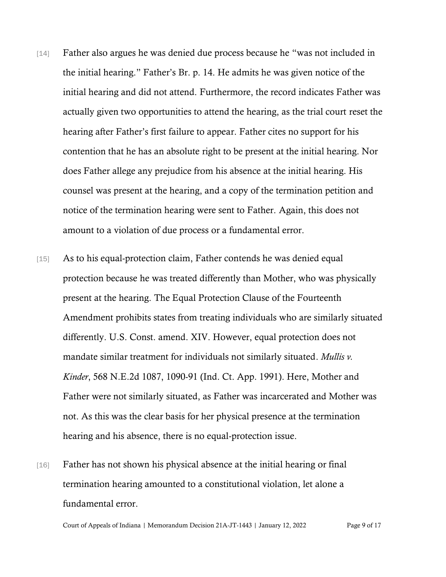- [14] Father also argues he was denied due process because he "was not included in the initial hearing." Father's Br. p. 14. He admits he was given notice of the initial hearing and did not attend. Furthermore, the record indicates Father was actually given two opportunities to attend the hearing, as the trial court reset the hearing after Father's first failure to appear. Father cites no support for his contention that he has an absolute right to be present at the initial hearing. Nor does Father allege any prejudice from his absence at the initial hearing. His counsel was present at the hearing, and a copy of the termination petition and notice of the termination hearing were sent to Father. Again, this does not amount to a violation of due process or a fundamental error.
- [15] As to his equal-protection claim, Father contends he was denied equal protection because he was treated differently than Mother, who was physically present at the hearing. The Equal Protection Clause of the Fourteenth Amendment prohibits states from treating individuals who are similarly situated differently. U.S. Const. amend. XIV. However, equal protection does not mandate similar treatment for individuals not similarly situated. *Mullis v. Kinder*, 568 N.E.2d 1087, 1090-91 (Ind. Ct. App. 1991). Here, Mother and Father were not similarly situated, as Father was incarcerated and Mother was not. As this was the clear basis for her physical presence at the termination hearing and his absence, there is no equal-protection issue.
- [16] Father has not shown his physical absence at the initial hearing or final termination hearing amounted to a constitutional violation, let alone a fundamental error.

Court of Appeals of Indiana | Memorandum Decision 21A-JT-1443 | January 12, 2022 Page 9 of 17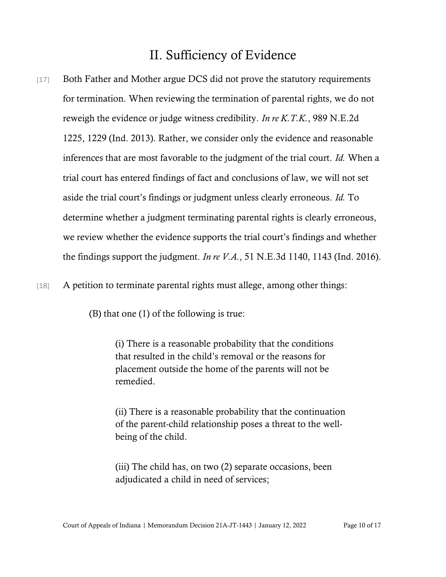## II. Sufficiency of Evidence

[17] Both Father and Mother argue DCS did not prove the statutory requirements for termination. When reviewing the termination of parental rights, we do not reweigh the evidence or judge witness credibility. *In re K.T.K.*, 989 N.E.2d 1225, 1229 (Ind. 2013). Rather, we consider only the evidence and reasonable inferences that are most favorable to the judgment of the trial court. *Id.* When a trial court has entered findings of fact and conclusions of law, we will not set aside the trial court's findings or judgment unless clearly erroneous. *Id.* To determine whether a judgment terminating parental rights is clearly erroneous, we review whether the evidence supports the trial court's findings and whether the findings support the judgment. *In re V.A.*, 51 N.E.3d 1140, 1143 (Ind. 2016).

[18] A petition to terminate parental rights must allege, among other things:

(B) that one (1) of the following is true:

(i) There is a reasonable probability that the conditions that resulted in the child's removal or the reasons for placement outside the home of the parents will not be remedied.

(ii) There is a reasonable probability that the continuation of the parent-child relationship poses a threat to the wellbeing of the child.

(iii) The child has, on two (2) separate occasions, been adjudicated a child in need of services;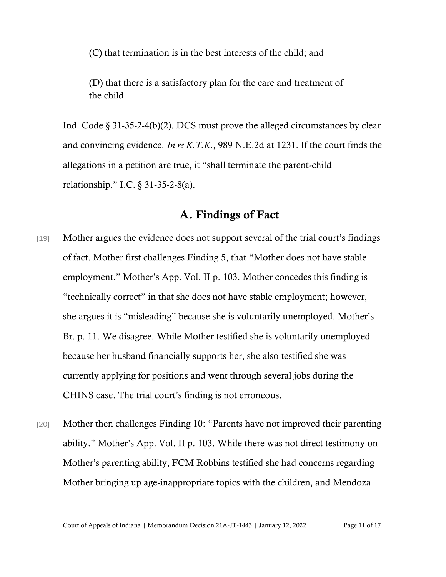(C) that termination is in the best interests of the child; and

(D) that there is a satisfactory plan for the care and treatment of the child.

Ind. Code  $\S 31-35-2-4(b)(2)$ . DCS must prove the alleged circumstances by clear and convincing evidence. *In re K.T.K.*, 989 N.E.2d at 1231. If the court finds the allegations in a petition are true, it "shall terminate the parent-child relationship." I.C. § 31-35-2-8(a).

### A. Findings of Fact

- [19] Mother argues the evidence does not support several of the trial court's findings of fact. Mother first challenges Finding 5, that "Mother does not have stable employment." Mother's App. Vol. II p. 103. Mother concedes this finding is "technically correct" in that she does not have stable employment; however, she argues it is "misleading" because she is voluntarily unemployed. Mother's Br. p. 11. We disagree. While Mother testified she is voluntarily unemployed because her husband financially supports her, she also testified she was currently applying for positions and went through several jobs during the CHINS case. The trial court's finding is not erroneous.
- [20] Mother then challenges Finding 10: "Parents have not improved their parenting ability." Mother's App. Vol. II p. 103. While there was not direct testimony on Mother's parenting ability, FCM Robbins testified she had concerns regarding Mother bringing up age-inappropriate topics with the children, and Mendoza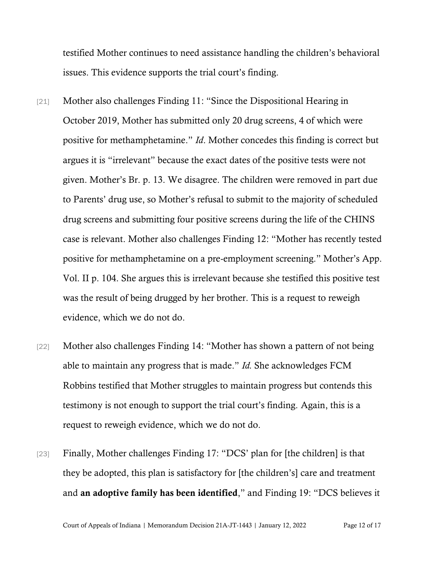testified Mother continues to need assistance handling the children's behavioral issues. This evidence supports the trial court's finding.

- [21] Mother also challenges Finding 11: "Since the Dispositional Hearing in October 2019, Mother has submitted only 20 drug screens, 4 of which were positive for methamphetamine." *Id*. Mother concedes this finding is correct but argues it is "irrelevant" because the exact dates of the positive tests were not given. Mother's Br. p. 13. We disagree. The children were removed in part due to Parents' drug use, so Mother's refusal to submit to the majority of scheduled drug screens and submitting four positive screens during the life of the CHINS case is relevant. Mother also challenges Finding 12: "Mother has recently tested positive for methamphetamine on a pre-employment screening." Mother's App. Vol. II p. 104. She argues this is irrelevant because she testified this positive test was the result of being drugged by her brother. This is a request to reweigh evidence, which we do not do.
- [22] Mother also challenges Finding 14: "Mother has shown a pattern of not being able to maintain any progress that is made." *Id.* She acknowledges FCM Robbins testified that Mother struggles to maintain progress but contends this testimony is not enough to support the trial court's finding. Again, this is a request to reweigh evidence, which we do not do.
- [23] Finally, Mother challenges Finding 17: "DCS' plan for [the children] is that they be adopted, this plan is satisfactory for [the children's] care and treatment and an adoptive family has been identified," and Finding 19: "DCS believes it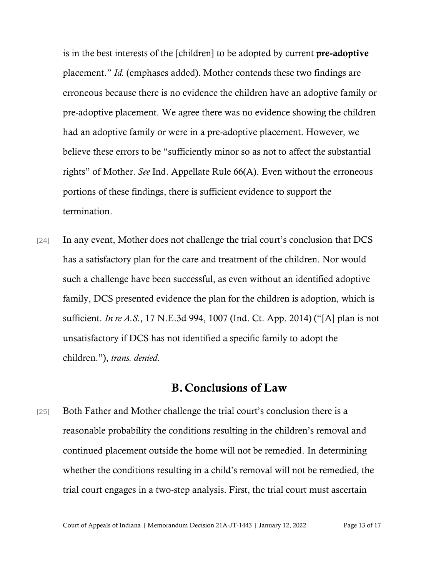is in the best interests of the [children] to be adopted by current pre-adoptive placement." *Id.* (emphases added). Mother contends these two findings are erroneous because there is no evidence the children have an adoptive family or pre-adoptive placement. We agree there was no evidence showing the children had an adoptive family or were in a pre-adoptive placement. However, we believe these errors to be "sufficiently minor so as not to affect the substantial rights" of Mother. *See* Ind. Appellate Rule 66(A). Even without the erroneous portions of these findings, there is sufficient evidence to support the termination.

[24] In any event, Mother does not challenge the trial court's conclusion that DCS has a satisfactory plan for the care and treatment of the children. Nor would such a challenge have been successful, as even without an identified adoptive family, DCS presented evidence the plan for the children is adoption, which is sufficient. *In re A.S.*, 17 N.E.3d 994, 1007 (Ind. Ct. App. 2014) ("[A] plan is not unsatisfactory if DCS has not identified a specific family to adopt the children."), *trans. denied*.

### B.Conclusions of Law

[25] Both Father and Mother challenge the trial court's conclusion there is a reasonable probability the conditions resulting in the children's removal and continued placement outside the home will not be remedied. In determining whether the conditions resulting in a child's removal will not be remedied, the trial court engages in a two-step analysis. First, the trial court must ascertain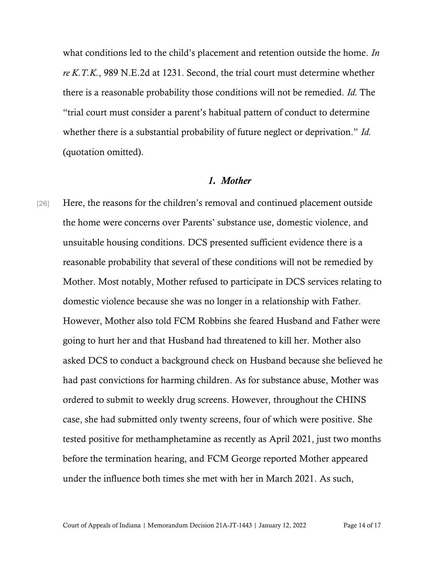what conditions led to the child's placement and retention outside the home. *In re K.T.K.*, 989 N.E.2d at 1231. Second, the trial court must determine whether there is a reasonable probability those conditions will not be remedied. *Id.* The "trial court must consider a parent's habitual pattern of conduct to determine whether there is a substantial probability of future neglect or deprivation." *Id.*  (quotation omitted).

#### *1. Mother*

[26] Here, the reasons for the children's removal and continued placement outside the home were concerns over Parents' substance use, domestic violence, and unsuitable housing conditions. DCS presented sufficient evidence there is a reasonable probability that several of these conditions will not be remedied by Mother. Most notably, Mother refused to participate in DCS services relating to domestic violence because she was no longer in a relationship with Father. However, Mother also told FCM Robbins she feared Husband and Father were going to hurt her and that Husband had threatened to kill her. Mother also asked DCS to conduct a background check on Husband because she believed he had past convictions for harming children. As for substance abuse, Mother was ordered to submit to weekly drug screens. However, throughout the CHINS case, she had submitted only twenty screens, four of which were positive. She tested positive for methamphetamine as recently as April 2021, just two months before the termination hearing, and FCM George reported Mother appeared under the influence both times she met with her in March 2021. As such,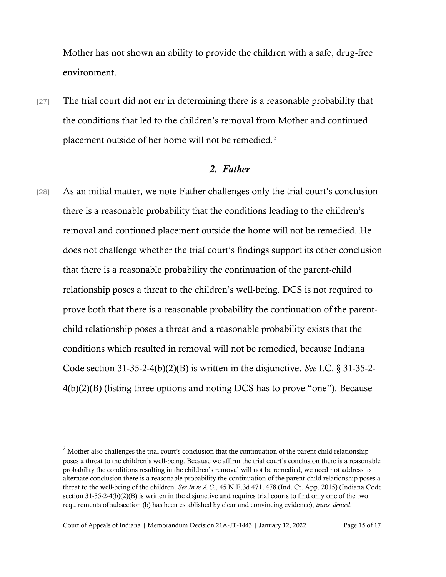Mother has not shown an ability to provide the children with a safe, drug-free environment.

[27] The trial court did not err in determining there is a reasonable probability that the conditions that led to the children's removal from Mother and continued placement outside of her home will not be remedied.<sup>2</sup>

### *2. Father*

[28] As an initial matter, we note Father challenges only the trial court's conclusion there is a reasonable probability that the conditions leading to the children's removal and continued placement outside the home will not be remedied. He does not challenge whether the trial court's findings support its other conclusion that there is a reasonable probability the continuation of the parent-child relationship poses a threat to the children's well-being. DCS is not required to prove both that there is a reasonable probability the continuation of the parentchild relationship poses a threat and a reasonable probability exists that the conditions which resulted in removal will not be remedied, because Indiana Code section 31-35-2-4(b)(2)(B) is written in the disjunctive. *See* I.C. § 31-35-2- 4(b)(2)(B) (listing three options and noting DCS has to prove "one"). Because

<sup>&</sup>lt;sup>2</sup> Mother also challenges the trial court's conclusion that the continuation of the parent-child relationship poses a threat to the children's well-being. Because we affirm the trial court's conclusion there is a reasonable probability the conditions resulting in the children's removal will not be remedied, we need not address its alternate conclusion there is a reasonable probability the continuation of the parent-child relationship poses a threat to the well-being of the children. *See In re A.G.*, 45 N.E.3d 471, 478 (Ind. Ct. App. 2015) (Indiana Code section 31-35-2-4(b)(2)(B) is written in the disjunctive and requires trial courts to find only one of the two requirements of subsection (b) has been established by clear and convincing evidence), *trans. denied*.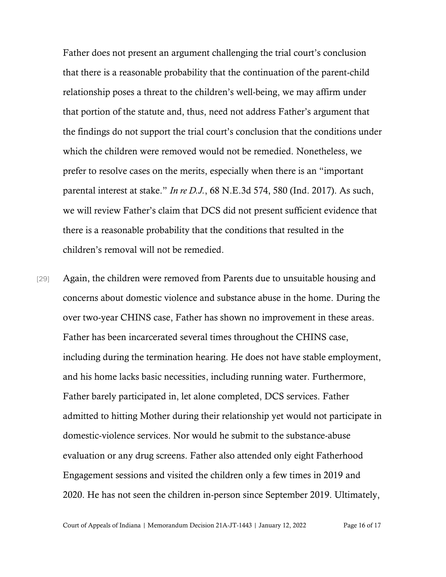Father does not present an argument challenging the trial court's conclusion that there is a reasonable probability that the continuation of the parent-child relationship poses a threat to the children's well-being, we may affirm under that portion of the statute and, thus, need not address Father's argument that the findings do not support the trial court's conclusion that the conditions under which the children were removed would not be remedied. Nonetheless, we prefer to resolve cases on the merits, especially when there is an "important parental interest at stake." *In re D.J.*, 68 N.E.3d 574, 580 (Ind. 2017). As such, we will review Father's claim that DCS did not present sufficient evidence that there is a reasonable probability that the conditions that resulted in the children's removal will not be remedied.

[29] Again, the children were removed from Parents due to unsuitable housing and concerns about domestic violence and substance abuse in the home. During the over two-year CHINS case, Father has shown no improvement in these areas. Father has been incarcerated several times throughout the CHINS case, including during the termination hearing. He does not have stable employment, and his home lacks basic necessities, including running water. Furthermore, Father barely participated in, let alone completed, DCS services. Father admitted to hitting Mother during their relationship yet would not participate in domestic-violence services. Nor would he submit to the substance-abuse evaluation or any drug screens. Father also attended only eight Fatherhood Engagement sessions and visited the children only a few times in 2019 and 2020. He has not seen the children in-person since September 2019. Ultimately,